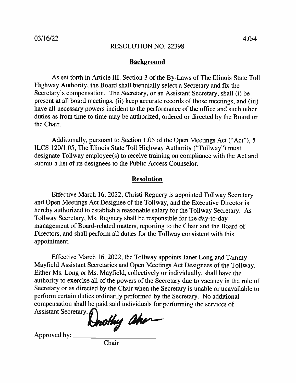# **Background**

As set forth in Article III, Section 3 of the By-Laws of The Illinois State Toll Highway Authority, the Board shall biennially select a Secretary and fix the Secretary's compensation. The Secretary, or an Assistant Secretary, shall (i) be present at all board meetings, (ii) keep accurate records of those meetings, and (iii) have all necessary powers incident to the performance of the office and such other duties as from time to time may be authorized, ordered or directed by the Board or the Chair.

Additionally, pursuant to Section 1.05 of the Open Meetings Act ("Act"), 5 ILCS 120/1.05, The Illinois State Toll Highway Authority ("Tollway") must designate Tollway employee(s) to receive training on compliance with the Act and submit a list of its designees to the Public Access Counselor.

## **Resolution**

Effective March 16, 2022, Christi Regnery is appointed Tollway Secretary and Open Meetings Act Designee of the Tollway, and the Executive Director is hereby authorized to establish a reasonable salary for the Tollway Secretary. As Tollway Secretary, Ms. Regnery shall be responsible for the day-to-day management of Board-related matters, reporting to the Chair and the Board of Directors, and shall perform all duties for the Tollway consistent with this appointment.

Effective March 16, 2022, the Tollway appoints Janet Long and Tammy Mayfield Assistant Secretaries and Open Meetings Act Designees of the Tollway. Either Ms. Long or Ms. Mayfield, collectively or individually, shall have the authority to exercise all of the powers of the Secretary due to vacancy in the role of Secretary or as directed by the Chair when the Secretary is unable or unavailable to perform certain duties ordinarily performed by the Secretary. No additional compensation shall be paid said individuals for performing the services of

Assistant Secretary.

Hnothy aher

Approved by:

Chair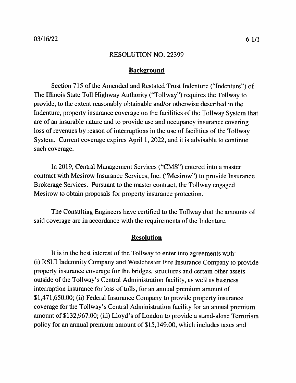## **Background**

Section 715 of the Amended and Restated Trust Indenture ("Indenture") of The Illinois State Toll Highway Authority ("Tollway") requires the Tollway to provide, to the extent reasonably obtainable and/or otherwise described in the Indenture, property insurance coverage on the facilities of the Tollway System that are of an insurable nature and to provide use and occupancy insurance covering loss of revenues by reason of interruptions in the use of facilities of the Tollway System. Current coverage expires April 1, 2022, and it is advisable to continue such coverage.

In 2019, Central Management Services ("CMS") entered into a master contract with Mesirow Insurance Services, Inc. ("Mesirow") to provide Insurance Brokerage Services. Pursuant to the master contract, the Tollway engaged Mesirow to obtain proposals for property insurance protection.

The Consulting Engineers have certified to the Tollway that the amounts of said coverage are in accordance with the requirements of the Indenture.

#### **Resolution**

It is in the best interest of the Tollway to enter into agreements with: (i) RSUI Indemnity Company and Westchester Fire Insurance Company to provide property insurance coverage for the bridges, structures and certain other assets outside of the Tollway's Central Administration facility, as well as business interruption insurance for loss of tolls, for an annual premium amount of \$1,471,650.00; (ii) Federal Insurance Company to provide property insurance coverage for the Tollway's Central Administration facility for an annual premium amount of \$132,967.00; (iii) Lloyd's of London to provide a stand-alone Terrorism policy for an annual premium amount of \$15,149.00, which includes taxes and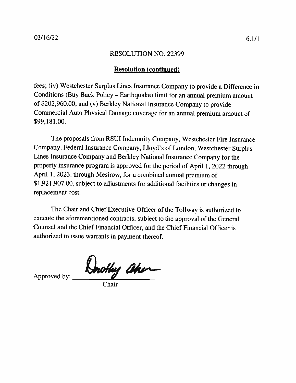# **Resolution (continued)**

fees; (iv) Westchester Surplus Lines Insurance Company to provide a Difference in Conditions (Buy Back Policy - Earthquake) limit for an annual premium amount of \$202,960.00; and (v) Berkley National Insurance Company to provide Commercial Auto Physical Damage coverage for an annual premium amount of \$99,181.00.

The proposals from RSUI Indemnity Company, Westchester Fire Insurance Company, Federal Insurance Company, Lloyd's of London, Westchester Surplus Lines Insurance Company and Berkley National Insurance Company for the property insurance program is approved for the period of April 1, 2022 through April 1, 2023, through Mesirow, for a combined annual premium of \$1,921,907.00, subject to adjustments for additional facilities or changes in replacement cost.

The Chair and Chief Executive Officer of the Tollway is authorized to execute the aforementioned contracts, subject to the approval of the General Counsel and the Chief Financial Officer, and the Chief Financial Officer is authorized to issue warrants in payment thereof.

Dorothy aher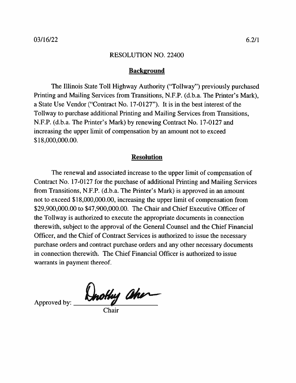## **Background**

The Illinois State Toll Highway Authority ("Tollway") previously purchased Printing and Mailing Services from Transitions, N.F.P. (d.b.a. The Printer's Mark), a State Use Vendor ("Contract No. 17-0127"). It is in the best interest of the Tollway to purchase additional Printing and Mailing Services from Transitions, N.F.P. (d.b.a. The Printer's Mark) by renewing Contract No. 17-0127 and increasing the upper limit of compensation by an amount not to exceed \$18,000,000.00.

## **Resolution**

The renewal and associated increase to the upper limit of compensation of Contract No. 17-0127 for the purchase of additional Printing and Mailing Services from Transitions, N.F.P. (d.b.a. The Printer's Mark) is approved in an amount not to exceed \$18,000,000.00, increasing the upper limit of compensation from \$29,900,000.00 to \$47,900,000.00. The Chair and Chief Executive Officer of the Tollway is authorized to execute the appropriate documents in connection therewith, subject to the approval of the General Counsel and the Chief Financial Officer, and the Chief of Contract Services is authorized to issue the necessary purchase orders and contract purchase orders and any other necessary documents in connection therewith. The Chief Financial Officer is authorized to issue warrants in payment thereof.

Approved by: **Unothy aher**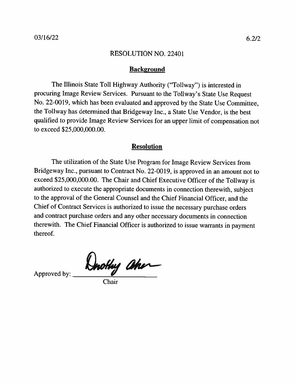#### **Background**

The Illinois State Toll Highway Authority ("Tollway") is interested in procuring Image Review Services. Pursuant to the Tollway's State Use Request No. 22-0019, which has been evaluated and approved by the State Use Committee, the Tollway has determined that Bridgeway Inc., a State Use Vendor, is the best qualified to provide Image Review Services for an upper limit of compensation not to exceed \$25,000,000.00.

## **Resolution**

The utilization of the State Use Program for Image Review Services from Bridgeway Inc., pursuant to Contract No. 22-0019, is approved in an amount not to exceed \$25,000,000.00. The Chair and Chief Executive Officer of the Tollway is authorized to execute the appropriate documents in connection therewith, subject to the approval of the General Counsel and the Chief Financial Officer, and the Chief of Contract Services is authorized to issue the necessary purchase orders and contract purchase orders and any other necessary documents in connection therewith. The Chief Financial Officer is authorized to issue warrants in payment thereof.

Dorothy ahor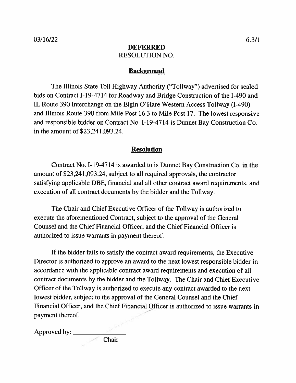# **DEFERRED RESOLUTION NO.**

# **Background**

The Illinois State Toll Highway Authority ("Tollway") advertised for sealed bids on Contract I-19-4714 for Roadway and Bridge Construction of the I-490 and IL Route 390 Interchange on the Elgin O'Hare Western Access Tollway (I-490) and Illinois Route 390 from Mile Post 16.3 to Mile Post 17. The lowest responsive and responsible bidder on Contract No. I-19-4714 is Dunnet Bay Construction Co. in the amount of \$23,241,093.24.

# **Resolution**

Contract No. I-19-4714 is awarded to is Dunnet Bay Construction Co. in the amount of \$23,241,093.24, subject to all required approvals, the contractor satisfying applicable DBE, financial and all other contract award requirements, and execution of all contract documents by the bidder and the Tollway.

The Chair and Chief Executive Officer of the Tollway is authorized to execute the aforementioned Contract, subject to the approval of the General Counsel and the Chief Financial Officer, and the Chief Financial Officer is authorized to issue warrants in payment thereof.

If the bidder fails to satisfy the contract award requirements, the Executive Director is authorized to approve an award to the next lowest responsible bidder in accordance with the applicable contract award requirements and execution of all contract documents by the bidder and the Tollway. The Chair and Chief Executive Officer of the Tollway is authorized to execute any contract awarded to the next lowest bidder, subject to the approval of the General Counsel and the Chief Financial Officer, and the Chief Financial Officer is authorized to issue warrants in payment thereof.

Approved by: \_\_\_\_\_

**Chair**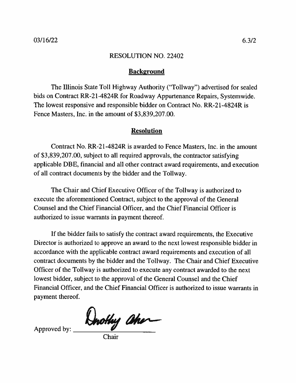## **Background**

The Illinois State Toll Highway Authority ("Tollway") advertised for sealed bids on Contract RR-21-4824R for Roadway Appurtenance Repairs, Systemwide. The lowest responsive and responsible bidder on Contract No. RR-21-4824R is Fence Masters, Inc. in the amount of \$3,839,207.00.

# **Resolution**

Contract No. RR-21-4824R is awarded to Fence Masters, Inc. in the amount of \$3,839,207.00, subject to all required approvals, the contractor satisfying applicable DBE, financial and all other contract award requirements, and execution of all contract documents by the bidder and the Tollway.

The Chair and Chief Executive Officer of the Tollway is authorized to execute the aforementioned Contract, subject to the approval of the General Counsel and the Chief Financial Officer, and the Chief Financial Officer is authorized to issue warrants in payment thereof.

If the bidder fails to satisfy the contract award requirements, the Executive Director is authorized to approve an award to the next lowest responsible bidder in accordance with the applicable contract award requirements and execution of all contract documents by the bidder and the Tollway. The Chair and Chief Executive Officer of the Tollway is authorized to execute any contract awarded to the next lowest bidder, subject to the approval of the General Counsel and the Chief Financial Officer, and the Chief Financial Officer is authorized to issue warrants in payment thereof.

Drothy aher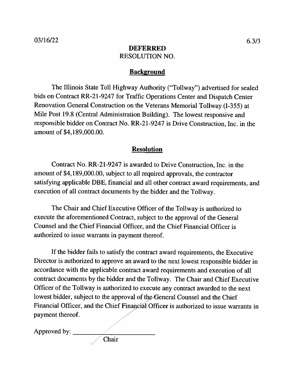# **DEFERRED RESOLUTION NO.**

## **Background**

The Illinois State Toll Highway Authority ("Tollway") advertised for sealed bids on Contract RR-21-9247 for Traffic Operations Center and Dispatch Center Renovation General Construction on the Veterans Memorial Tollway (I-355) at Mile Post 19.8 (Central Administration Building). The lowest responsive and responsible bidder on Contract No. RR-21-9247 is Drive Construction, Inc. in the amount of \$4,189,000.00.

## **Resolution**

Contract No. RR-21-9247 is awarded to Drive Construction, Inc. in the amount of \$4,189,000.00, subject to all required approvals, the contractor satisfying applicable DBE, financial and all other contract award requirements, and execution of all contract documents by the bidder and the Tollway.

The Chair and Chief Executive Officer of the Tollway is authorized to execute the aforementioned Contract, subject to the approval of the General Counsel and the Chief Financial Officer, and the Chief Financial Officer is authorized to issue warrants in payment thereof.

If the bidder fails to satisfy the contract award requirements, the Executive Director is authorized to approve an award to the next lowest responsible bidder in accordance with the applicable contract award requirements and execution of all contract documents by the bidder and the Tollway. The Chair and Chief Executive Officer of the Tollway is authorized to execute any contract awarded to the next lowest bidder, subject to the approval of the General Counsel and the Chief Financial Officer, and the Chief Financial Officer is authorized to issue warrants in payment thereof.

Chair

Approved by: \_\_\_\_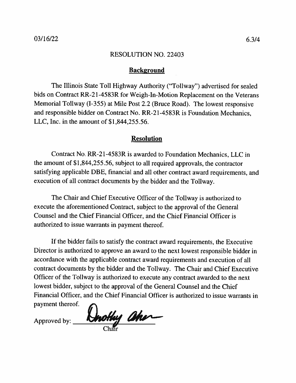## **Background**

The Illinois State Toll Highway Authority ("Tollway") advertised for sealed bids on Contract RR-21-4583R for Weigh-In-Motion Replacement on the Veterans Memorial Tollway (I-355) at Mile Post 2.2 (Bruce Road). The lowest responsive and responsible bidder on Contract No. RR-21-4583R is Foundation Mechanics, LLC, Inc. in the amount of  $$1,844,255.56$ .

## **Resolution**

Contract No. RR-21-4583R is awarded to Foundation Mechanics, LLC in the amount of \$1,844,255.56, subject to all required approvals, the contractor satisfying applicable DBE, financial and all other contract award requirements, and execution of all contract documents by the bidder and the Tollway.

The Chair and Chief Executive Officer of the Tollway is authorized to execute the aforementioned Contract, subject to the approval of the General Counsel and the Chief Financial Officer, and the Chief Financial Officer is authorized to issue warrants in payment thereof.

If the bidder fails to satisfy the contract award requirements, the Executive Director is authorized to approve an award to the next lowest responsible bidder in accordance with the applicable contract award requirements and execution of all contract documents by the bidder and the Tollway. The Chair and Chief Executive Officer of the Tollway is authorized to execute any contract awarded to the next lowest bidder, subject to the approval of the General Counsel and the Chief Financial Officer, and the Chief Financial Officer is authorized to issue warrants in payment thereof.

Approved by: Unothy and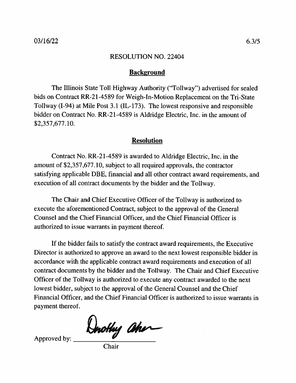# **Background**

The Illinois State Toll Highway Authority ("Tollway") advertised for sealed bids on Contract RR-21-4589 for Weigh-In-Motion Replacement on the Tri-State Tollway (I-94) at Mile Post 3.1 (IL-173). The lowest responsive and responsible bidder on Contract No. RR-21-4589 is Aldridge Electric, Inc. in the amount of  $$2,357,677.10.$ 

## **Resolution**

Contract No. RR-21-4589 is awarded to Aldridge Electric, Inc. in the amount of \$2,357,677.10, subject to all required approvals, the contractor satisfying applicable DBE, financial and all other contract award requirements, and execution of all contract documents by the bidder and the Tollway.

The Chair and Chief Executive Officer of the Tollway is authorized to execute the aforementioned Contract, subject to the approval of the General Counsel and the Chief Financial Officer, and the Chief Financial Officer is authorized to issue warrants in payment thereof.

If the bidder fails to satisfy the contract award requirements, the Executive Director is authorized to approve an award to the next lowest responsible bidder in accordance with the applicable contract award requirements and execution of all contract documents by the bidder and the Tollway. The Chair and Chief Executive Officer of the Tollway is authorized to execute any contract awarded to the next lowest bidder, subject to the approval of the General Counsel and the Chief Financial Officer, and the Chief Financial Officer is authorized to issue warrants in payment thereof.

Dnothy aher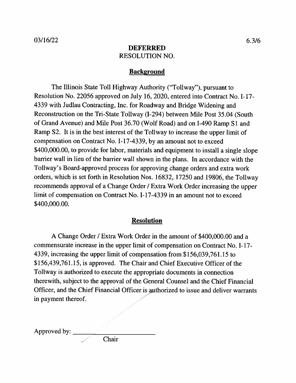# **DEFERRED RESOLUTION NO.**

# **Background**

The Illinois State Toll Highway Authority ("Tollway"), pursuant to Resolution No. 22056 approved on July 16, 2020, entered into Contract No. I-17-4339 with Judlau Contracting, Inc. for Roadway and Bridge Widening and Reconstruction on the Tri-State Tollway (I-294) between Mile Post 35.04 (South of Grand Avenue) and Mile Post 36.70 (Wolf Road) and on I-490 Ramp S1 and Ramp S2. It is in the best interest of the Tollway to increase the upper limit of compensation on Contract No. I-17-4339, by an amount not to exceed \$400,000.00, to provide for labor, materials and equipment to install a single slope barrier wall in lieu of the barrier wall shown in the plans. In accordance with the Tollway's Board-approved process for approving change orders and extra work orders, which is set forth in Resolution Nos. 16832, 17250 and 19806, the Tollway recommends approval of a Change Order / Extra Work Order increasing the upper limit of compensation on Contract No. I-17-4339 in an amount not to exceed \$400,000.00.

## **Resolution**

A Change Order / Extra Work Order in the amount of \$400,000.00 and a commensurate increase in the upper limit of compensation on Contract No. I-17-4339, increasing the upper limit of compensation from \$156,039,761.15 to \$156,439,761.15, is approved. The Chair and Chief Executive Officer of the Tollway is authorized to execute the appropriate documents in connection therewith, subject to the approval of the General Counsel and the Chief Financial Officer, and the Chief Financial Officer is authorized to issue and deliver warrants in payment thereof.

Approved by: \_

Chair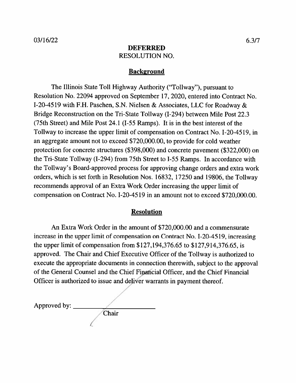# **DEFERRED RESOLUTION NO.**

# **Background**

The Illinois State Toll Highway Authority ("Tollway"), pursuant to Resolution No. 22094 approved on September 17, 2020, entered into Contract No. I-20-4519 with F.H. Paschen, S.N. Nielsen & Associates, LLC for Roadway & Bridge Reconstruction on the Tri-State Tollway (I-294) between Mile Post 22.3 (75th Street) and Mile Post 24.1 (I-55 Ramps). It is in the best interest of the Tollway to increase the upper limit of compensation on Contract No. I-20-4519, in an aggregate amount not to exceed \$720,000.00, to provide for cold weather protection for concrete structures (\$398,000) and concrete pavement (\$322,000) on the Tri-State Tollway (I-294) from 75th Street to I-55 Ramps. In accordance with the Tollway's Board-approved process for approving change orders and extra work orders, which is set forth in Resolution Nos. 16832, 17250 and 19806, the Tollway recommends approval of an Extra Work Order increasing the upper limit of compensation on Contract No. I-20-4519 in an amount not to exceed \$720,000.00.

## **Resolution**

An Extra Work Order in the amount of \$720,000.00 and a commensurate increase in the upper limit of compensation on Contract No. I-20-4519, increasing the upper limit of compensation from \$127,194,376.65 to \$127,914,376.65, is approved. The Chair and Chief Executive Officer of the Tollway is authorized to execute the appropriate documents in connection therewith, subject to the approval of the General Counsel and the Chief Financial Officer, and the Chief Financial Officer is authorized to issue and deliver warrants in payment thereof.

Approved by:  $\_\_$ Chair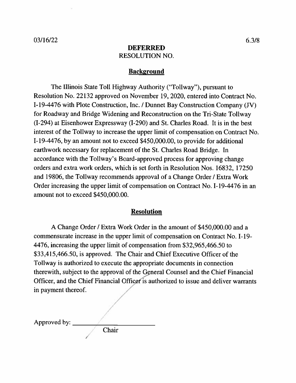## **DEFERRED RESOLUTION NO.**

#### **Background**

The Illinois State Toll Highway Authority ("Tollway"), pursuant to Resolution No. 22132 approved on November 19, 2020, entered into Contract No. I-19-4476 with Plote Construction, Inc. / Dunnet Bay Construction Company (JV) for Roadway and Bridge Widening and Reconstruction on the Tri-State Tollway (I-294) at Eisenhower Expressway (I-290) and St. Charles Road. It is in the best interest of the Tollway to increase the upper limit of compensation on Contract No. I-19-4476, by an amount not to exceed \$450,000.00, to provide for additional earthwork necessary for replacement of the St. Charles Road Bridge. In accordance with the Tollway's Board-approved process for approving change orders and extra work orders, which is set forth in Resolution Nos. 16832, 17250 and 19806, the Tollway recommends approval of a Change Order / Extra Work Order increasing the upper limit of compensation on Contract No. I-19-4476 in an amount not to exceed \$450,000.00.

#### **Resolution**

A Change Order / Extra Work Order in the amount of \$450,000.00 and a commensurate increase in the upper limit of compensation on Contract No. I-19-4476, increasing the upper limit of compensation from \$32,965,466.50 to \$33,415,466.50, is approved. The Chair and Chief Executive Officer of the Tollway is authorized to execute the appropriate documents in connection therewith, subject to the approval of the General Counsel and the Chief Financial Officer, and the Chief Financial Officer is authorized to issue and deliver warrants in payment thereof.

| Approved by: |       |  |
|--------------|-------|--|
|              | Chair |  |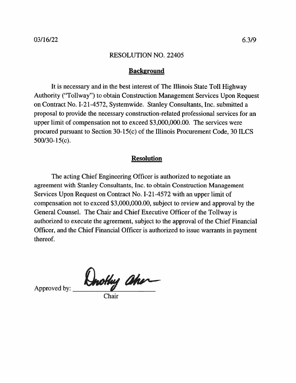## **Background**

It is necessary and in the best interest of The Illinois State Toll Highway Authority ("Tollway") to obtain Construction Management Services Upon Request on Contract No. I-21-4572, Systemwide. Stanley Consultants, Inc. submitted a proposal to provide the necessary construction-related professional services for an upper limit of compensation not to exceed \$3,000,000.00. The services were procured pursuant to Section 30-15(c) of the Illinois Procurement Code, 30 ILCS 500/30-15(c).

## **Resolution**

The acting Chief Engineering Officer is authorized to negotiate an agreement with Stanley Consultants, Inc. to obtain Construction Management Services Upon Request on Contract No. I-21-4572 with an upper limit of compensation not to exceed \$3,000,000.00, subject to review and approval by the General Counsel. The Chair and Chief Executive Officer of the Tollway is authorized to execute the agreement, subject to the approval of the Chief Financial Officer, and the Chief Financial Officer is authorized to issue warrants in payment thereof.

Drothy aher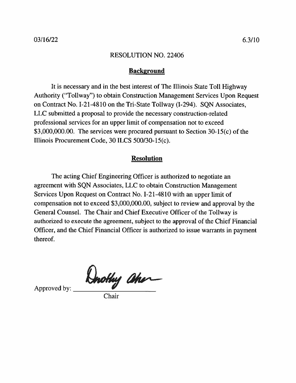## **Background**

It is necessary and in the best interest of The Illinois State Toll Highway Authority ("Tollway") to obtain Construction Management Services Upon Request on Contract No. I-21-4810 on the Tri-State Tollway (I-294). SQN Associates, LLC submitted a proposal to provide the necessary construction-related professional services for an upper limit of compensation not to exceed \$3,000,000.00. The services were procured pursuant to Section  $30-15(c)$  of the Illinois Procurement Code, 30 ILCS 500/30-15(c).

## **Resolution**

The acting Chief Engineering Officer is authorized to negotiate an agreement with SQN Associates, LLC to obtain Construction Management Services Upon Request on Contract No. I-21-4810 with an upper limit of compensation not to exceed \$3,000,000.00, subject to review and approval by the General Counsel. The Chair and Chief Executive Officer of the Tollway is authorized to execute the agreement, subject to the approval of the Chief Financial Officer, and the Chief Financial Officer is authorized to issue warrants in payment thereof.

Dnothy aher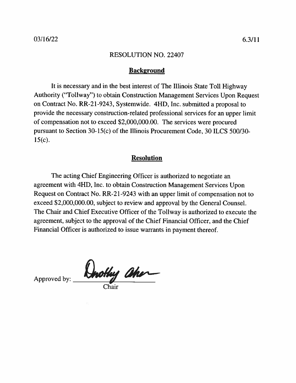## **Background**

It is necessary and in the best interest of The Illinois State Toll Highway Authority ("Tollway") to obtain Construction Management Services Upon Request on Contract No. RR-21-9243, Systemwide. 4HD, Inc. submitted a proposal to provide the necessary construction-related professional services for an upper limit of compensation not to exceed \$2,000,000.00. The services were procured pursuant to Section 30-15(c) of the Illinois Procurement Code, 30 ILCS 500/30- $15(c)$ .

# **Resolution**

The acting Chief Engineering Officer is authorized to negotiate an agreement with 4HD, Inc. to obtain Construction Management Services Upon Request on Contract No. RR-21-9243 with an upper limit of compensation not to exceed \$2,000,000.00, subject to review and approval by the General Counsel. The Chair and Chief Executive Officer of the Tollway is authorized to execute the agreement, subject to the approval of the Chief Financial Officer, and the Chief Financial Officer is authorized to issue warrants in payment thereof.

**Unothy aher**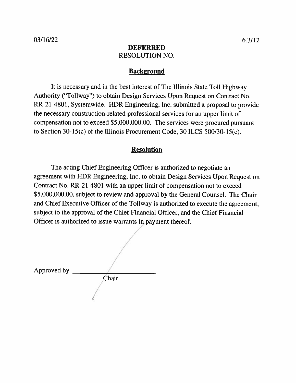# **DEFERRED RESOLUTION NO.**

## **Background**

It is necessary and in the best interest of The Illinois State Toll Highway Authority ("Tollway") to obtain Design Services Upon Request on Contract No. RR-21-4801, Systemwide. HDR Engineering, Inc. submitted a proposal to provide the necessary construction-related professional services for an upper limit of compensation not to exceed \$5,000,000.00. The services were procured pursuant to Section 30-15(c) of the Illinois Procurement Code, 30 ILCS 500/30-15(c).

# **Resolution**

The acting Chief Engineering Officer is authorized to negotiate an agreement with HDR Engineering, Inc. to obtain Design Services Upon Request on Contract No. RR-21-4801 with an upper limit of compensation not to exceed \$5,000,000.00, subject to review and approval by the General Counsel. The Chair and Chief Executive Officer of the Tollway is authorized to execute the agreement, subject to the approval of the Chief Financial Officer, and the Chief Financial Officer is authorized to issue warrants in payment thereof.

Approved by: Chair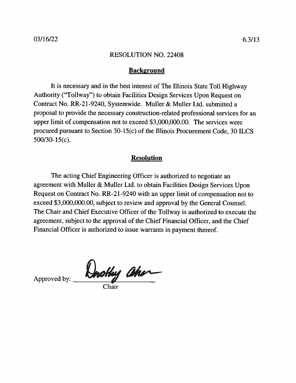## **Background**

It is necessary and in the best interest of The Illinois State Toll Highway Authority ("Tollway") to obtain Facilities Design Services Upon Request on Contract No. RR-21-9240, Systemwide. Muller & Muller Ltd. submitted a proposal to provide the necessary construction-related professional services for an upper limit of compensation not to exceed \$3,000,000.00. The services were procured pursuant to Section 30-15(c) of the Illinois Procurement Code, 30 ILCS  $500/30-15(c)$ .

# **Resolution**

The acting Chief Engineering Officer is authorized to negotiate an agreement with Muller & Muller Ltd. to obtain Facilities Design Services Upon Request on Contract No. RR-21-9240 with an upper limit of compensation not to exceed \$3,000,000.00, subject to review and approval by the General Counsel. The Chair and Chief Executive Officer of the Tollway is authorized to execute the agreement, subject to the approval of the Chief Financial Officer, and the Chief Financial Officer is authorized to issue warrants in payment thereof.

Drothy aher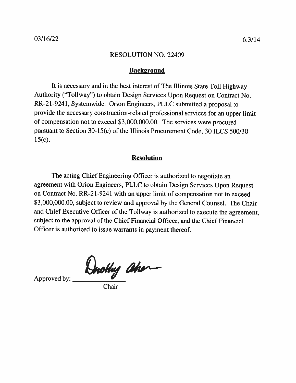## **Background**

It is necessary and in the best interest of The Illinois State Toll Highway Authority ("Tollway") to obtain Design Services Upon Request on Contract No. RR-21-9241, Systemwide. Orion Engineers, PLLC submitted a proposal to provide the necessary construction-related professional services for an upper limit of compensation not to exceed \$3,000,000.00. The services were procured pursuant to Section 30-15(c) of the Illinois Procurement Code, 30 ILCS 500/30- $15(c)$ .

## **Resolution**

The acting Chief Engineering Officer is authorized to negotiate an agreement with Orion Engineers, PLLC to obtain Design Services Upon Request on Contract No. RR-21-9241 with an upper limit of compensation not to exceed \$3,000,000.00, subject to review and approval by the General Counsel. The Chair and Chief Executive Officer of the Tollway is authorized to execute the agreement, subject to the approval of the Chief Financial Officer, and the Chief Financial Officer is authorized to issue warrants in payment thereof.

Drothy aher

Approved by:

Chair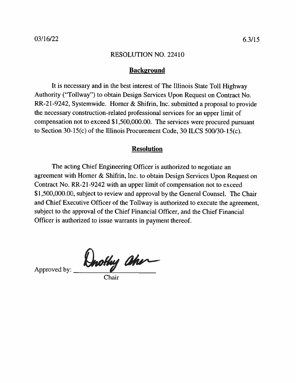## **Background**

It is necessary and in the best interest of The Illinois State Toll Highway Authority ("Tollway") to obtain Design Services Upon Request on Contract No. RR-21-9242, Systemwide. Horner & Shifrin, Inc. submitted a proposal to provide the necessary construction-related professional services for an upper limit of compensation not to exceed \$1,500,000.00. The services were procured pursuant to Section 30-15(c) of the Illinois Procurement Code, 30 ILCS 500/30-15(c).

## **Resolution**

The acting Chief Engineering Officer is authorized to negotiate an agreement with Horner & Shifrin, Inc. to obtain Design Services Upon Request on Contract No. RR-21-9242 with an upper limit of compensation not to exceed \$1,500,000.00, subject to review and approval by the General Counsel. The Chair and Chief Executive Officer of the Tollway is authorized to execute the agreement, subject to the approval of the Chief Financial Officer, and the Chief Financial Officer is authorized to issue warrants in payment thereof.

Drothy aher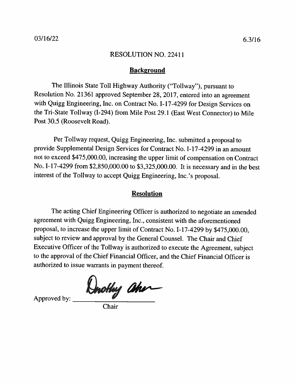#### **Background**

The Illinois State Toll Highway Authority ("Tollway"), pursuant to Resolution No. 21361 approved September 28, 2017, entered into an agreement with Quigg Engineering, Inc. on Contract No. I-17-4299 for Design Services on the Tri-State Tollway (I-294) from Mile Post 29.1 (East West Connector) to Mile Post 30.5 (Roosevelt Road).

Per Tollway request, Quigg Engineering, Inc. submitted a proposal to provide Supplemental Design Services for Contract No. I-17-4299 in an amount not to exceed \$475,000.00, increasing the upper limit of compensation on Contract No. I-17-4299 from \$2,850,000.00 to \$3,325,000.00. It is necessary and in the best interest of the Tollway to accept Quigg Engineering, Inc.'s proposal.

### **Resolution**

The acting Chief Engineering Officer is authorized to negotiate an amended agreement with Quigg Engineering, Inc., consistent with the aforementioned proposal, to increase the upper limit of Contract No. I-17-4299 by \$475,000.00, subject to review and approval by the General Counsel. The Chair and Chief Executive Officer of the Tollway is authorized to execute the Agreement, subject to the approval of the Chief Financial Officer, and the Chief Financial Officer is authorized to issue warrants in payment thereof.

Dnothy aher

Approved by:

Chair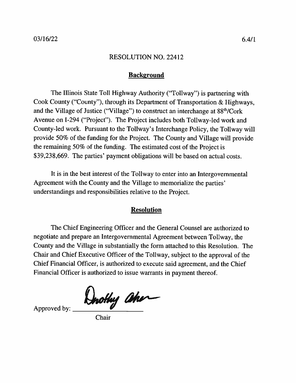# **Background**

The Illinois State Toll Highway Authority ("Tollway") is partnering with Cook County ("County"), through its Department of Transportation & Highways, and the Village of Justice ("Village") to construct an interchange at 88<sup>th</sup>/Cork Avenue on I-294 ("Project"). The Project includes both Tollway-led work and County-led work. Pursuant to the Tollway's Interchange Policy, the Tollway will provide 50% of the funding for the Project. The County and Village will provide the remaining 50% of the funding. The estimated cost of the Project is \$39,238,669. The parties' payment obligations will be based on actual costs.

It is in the best interest of the Tollway to enter into an Intergovernmental Agreement with the County and the Village to memorialize the parties' understandings and responsibilities relative to the Project.

## **Resolution**

The Chief Engineering Officer and the General Counsel are authorized to negotiate and prepare an Intergovernmental Agreement between Tollway, the County and the Village in substantially the form attached to this Resolution. The Chair and Chief Executive Officer of the Tollway, subject to the approval of the Chief Financial Officer, is authorized to execute said agreement, and the Chief Financial Officer is authorized to issue warrants in payment thereof.

Dorothy aher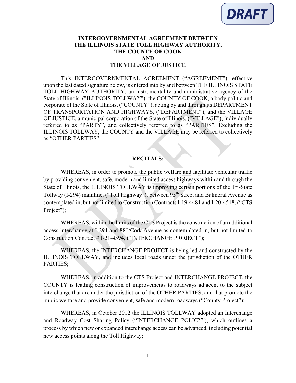#### **INTERGOVERNMENTAL AGREEMENT BETWEEN THE ILLINOIS STATE TOLL HIGHWAY AUTHORITY, THE COUNTY OF COOK AND THE VILLAGE OF JUSTICE**

This INTERGOVERNMENTAL AGREEMENT ("AGREEMENT"), effective upon the last dated signature below, is entered into by and between THE ILLINOIS STATE TOLL HIGHWAY AUTHORITY, an instrumentality and administrative agency of the State of Illinois, ("ILLINOIS TOLLWAY"), the COUNTY OF COOK, a body politic and corporate of the State of Illinois, ("COUNTY"), acting by and through its DEPARTMENT OF TRANSPORTATION AND HIGHWAYS, ("DEPARTMENT"), and the VILLAGE OF JUSTICE, a municipal corporation of the State of Illinois, ("VILLAGE"), individually referred to as "PARTY", and collectively referred to as "PARTIES". Excluding the ILLINOIS TOLLWAY, the COUNTY and the VILLAGE may be referred to collectively as "OTHER PARTIES".

#### **RECITALS:**

WHEREAS, in order to promote the public welfare and facilitate vehicular traffic by providing convenient, safe, modern and limited access highways within and through the State of Illinois, the ILLINOIS TOLLWAY is improving certain portions of the Tri-State Tollway (I-294) mainline, ("Toll Highway"), between 95th Street and Balmoral Avenue as contemplated in, but not limited to Construction Contracts I-19-4481 and I-20-4518, ("CTS Project");

WHEREAS, within the limits of the CTS Project is the construction of an additional access interchange at I-294 and 88th/Cork Avenue as contemplated in, but not limited to Construction Contract # I-21-4594, ("INTERCHANGE PROJECT");

WHEREAS, the INTERCHANGE PROJECT is being led and constructed by the ILLINOIS TOLLWAY, and includes local roads under the jurisdiction of the OTHER PARTIES;

WHEREAS, in addition to the CTS Project and INTERCHANGE PROJECT, the COUNTY is leading construction of improvements to roadways adjacent to the subject interchange that are under the jurisdiction of the OTHER PARTIES, and that promote the public welfare and provide convenient, safe and modern roadways ("County Project");

WHEREAS, in October 2012 the ILLINOIS TOLLWAY adopted an Interchange and Roadway Cost Sharing Policy ("INTERCHANGE POLICY"), which outlines a process by which new or expanded interchange access can be advanced, including potential new access points along the Toll Highway;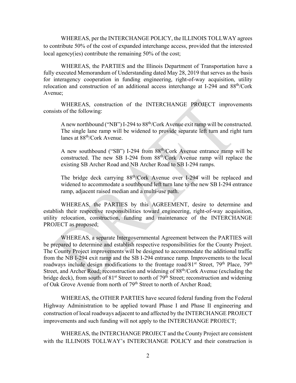WHEREAS, per the INTERCHANGE POLICY, the ILLINOIS TOLLWAY agrees to contribute 50% of the cost of expanded interchange access, provided that the interested local agency(ies) contribute the remaining 50% of the cost;

WHEREAS, the PARTIES and the Illinois Department of Transportation have a fully executed Memorandum of Understanding dated May 28, 2019 that serves as the basis for interagency cooperation in funding engineering, right-of-way acquisition, utility relocation and construction of an additional access interchange at I-294 and 88th/Cork Avenue;

WHEREAS, construction of the INTERCHANGE PROJECT improvements consists of the following:

A new northbound ("NB") I-294 to 88th/Cork Avenue exit ramp will be constructed. The single lane ramp will be widened to provide separate left turn and right turn lanes at 88th/Cork Avenue.

A new southbound ("SB") I-294 from 88th/Cork Avenue entrance ramp will be constructed. The new SB I-294 from 88th/Cork Avenue ramp will replace the existing SB Archer Road and NB Archer Road to SB I-294 ramps.

The bridge deck carrying 88th/Cork Avenue over I-294 will be replaced and widened to accommodate a southbound left turn lane to the new SB I-294 entrance ramp, adjacent raised median and a multi-use path.

WHEREAS, the PARTIES by this AGREEMENT, desire to determine and establish their respective responsibilities toward engineering, right-of-way acquisition, utility relocation, construction, funding and maintenance of the INTERCHANGE PROJECT as proposed;

WHEREAS, a separate Intergovernmental Agreement between the PARTIES will be prepared to determine and establish respective responsibilities for the County Project. The County Project improvements will be designed to accommodate the additional traffic from the NB I-294 exit ramp and the SB I-294 entrance ramp. Improvements to the local roadways include design modifications to the frontage road/81<sup>st</sup> Street,  $79<sup>th</sup>$  Place,  $79<sup>th</sup>$ Street, and Archer Road; reconstruction and widening of 88<sup>th</sup>/Cork Avenue (excluding the bridge deck), from south of 81<sup>st</sup> Street to north of 79<sup>th</sup> Street; reconstruction and widening of Oak Grove Avenue from north of 79<sup>th</sup> Street to north of Archer Road;

WHEREAS, the OTHER PARTIES have secured federal funding from the Federal Highway Administration to be applied toward Phase I and Phase II engineering and construction of local roadways adjacent to and affected by the INTERCHANGE PROJECT improvements and such funding will not apply to the INTERCHANGE PROJECT;

WHEREAS, the INTERCHANGE PROJECT and the County Project are consistent with the ILLINOIS TOLLWAY's INTERCHANGE POLICY and their construction is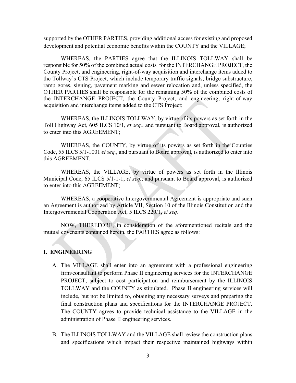supported by the OTHER PARTIES, providing additional access for existing and proposed development and potential economic benefits within the COUNTY and the VILLAGE;

WHEREAS, the PARTIES agree that the ILLINOIS TOLLWAY shall be responsible for 50% of the combined actual costs for the INTERCHANGE PROJECT, the County Project, and engineering, right-of-way acquisition and interchange items added to the Tollway's CTS Project, which include temporary traffic signals, bridge substructure, ramp gores, signing, pavement marking and sewer relocation and, unless specified, the OTHER PARTIES shall be responsible for the remaining 50% of the combined costs of the INTERCHANGE PROJECT, the County Project, and engineering, right-of-way acquisition and interchange items added to the CTS Project;

WHEREAS, the ILLINOIS TOLLWAY, by virtue of its powers as set forth in the Toll Highway Act, 605 ILCS 10/1, *et seq.*, and pursuant to Board approval, is authorized to enter into this AGREEMENT;

WHEREAS, the COUNTY, by virtue of its powers as set forth in the Counties Code, 55 ILCS 5/1-1001 *et seq.*, and pursuant to Board approval, is authorized to enter into this AGREEMENT;

WHEREAS, the VILLAGE, by virtue of powers as set forth in the Illinois Municipal Code, 65 ILCS 5/1-1-1, *et seq.*, and pursuant to Board approval, is authorized to enter into this AGREEMENT;

WHEREAS, a cooperative Intergovernmental Agreement is appropriate and such an Agreement is authorized by Article VII, Section 10 of the Illinois Constitution and the Intergovernmental Cooperation Act, 5 ILCS 220/1, *et seq*.

NOW, THEREFORE, in consideration of the aforementioned recitals and the mutual covenants contained herein, the PARTIES agree as follows:

#### **I. ENGINEERING**

- A. The VILLAGE shall enter into an agreement with a professional engineering firm/consultant to perform Phase II engineering services for the INTERCHANGE PROJECT, subject to cost participation and reimbursement by the ILLINOIS TOLLWAY and the COUNTY as stipulated. Phase II engineering services will include, but not be limited to, obtaining any necessary surveys and preparing the final construction plans and specifications for the INTERCHANGE PROJECT. The COUNTY agrees to provide technical assistance to the VILLAGE in the administration of Phase II engineering services.
- B. The ILLINOIS TOLLWAY and the VILLAGE shall review the construction plans and specifications which impact their respective maintained highways within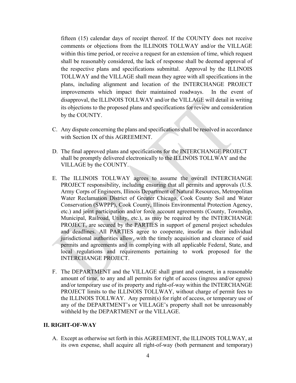fifteen (15) calendar days of receipt thereof. If the COUNTY does not receive comments or objections from the ILLINOIS TOLLWAY and/or the VILLAGE within this time period, or receive a request for an extension of time, which request shall be reasonably considered, the lack of response shall be deemed approval of the respective plans and specifications submittal. Approval by the ILLINOIS TOLLWAY and the VILLAGE shall mean they agree with all specifications in the plans, including alignment and location of the INTERCHANGE PROJECT improvements which impact their maintained roadways. In the event of disapproval, the ILLINOIS TOLLWAY and/or the VILLAGE will detail in writing its objections to the proposed plans and specifications for review and consideration by the COUNTY.

- C. Any dispute concerning the plans and specifications shall be resolved in accordance with Section IX of this AGREEMENT.
- D. The final approved plans and specifications for the INTERCHANGE PROJECT shall be promptly delivered electronically to the ILLINOIS TOLLWAY and the VILLAGE by the COUNTY.
- E. The ILLINOIS TOLLWAY agrees to assume the overall INTERCHANGE PROJECT responsibility, including ensuring that all permits and approvals (U.S. Army Corps of Engineers, Illinois Department of Natural Resources, Metropolitan Water Reclamation District of Greater Chicago, Cook County Soil and Water Conservation (SWPPP), Cook County, Illinois Environmental Protection Agency, etc.) and joint participation and/or force account agreements (County, Township, Municipal, Railroad, Utility, etc.), as may be required by the INTERCHANGE PROJECT, are secured by the PARTIES in support of general project schedules and deadlines. All PARTIES agree to cooperate, insofar as their individual jurisdictional authorities allow, with the timely acquisition and clearance of said permits and agreements and in complying with all applicable Federal, State, and local regulations and requirements pertaining to work proposed for the INTERCHANGE PROJECT.
- F. The DEPARTMENT and the VILLAGE shall grant and consent, in a reasonable amount of time, to any and all permits for right of access (ingress and/or egress) and/or temporary use of its property and right-of-way within the INTERCHANGE PROJECT limits to the ILLINOIS TOLLWAY, without charge of permit fees to the ILLINOIS TOLLWAY. Any permit(s) for right of access, or temporary use of any of the DEPARTMENT's or VILLAGE's property shall not be unreasonably withheld by the DEPARTMENT or the VILLAGE.

#### **II. RIGHT-OF-WAY**

A. Except as otherwise set forth in this AGREEMENT, the ILLINOIS TOLLWAY, at its own expense, shall acquire all right-of-way (both permanent and temporary)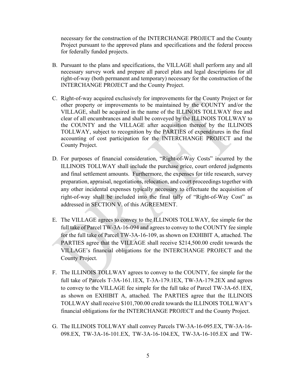necessary for the construction of the INTERCHANGE PROJECT and the County Project pursuant to the approved plans and specifications and the federal process for federally funded projects.

- B. Pursuant to the plans and specifications, the VILLAGE shall perform any and all necessary survey work and prepare all parcel plats and legal descriptions for all right-of-way (both permanent and temporary) necessary for the construction of the INTERCHANGE PROJECT and the County Project.
- C. Right-of-way acquired exclusively for improvements for the County Project or for other property or improvements to be maintained by the COUNTY and/or the VILLAGE, shall be acquired in the name of the ILLINOIS TOLLWAY free and clear of all encumbrances and shall be conveyed by the ILLINOIS TOLLWAY to the COUNTY and the VILLAGE after acquisition thereof by the ILLINOIS TOLLWAY, subject to recognition by the PARTIES of expenditures in the final accounting of cost participation for the INTERCHANGE PROJECT and the County Project.
- D. For purposes of financial consideration, "Right-of-Way Costs" incurred by the ILLINOIS TOLLWAY shall include the purchase price, court ordered judgments and final settlement amounts. Furthermore, the expenses for title research, survey preparation, appraisal, negotiations, relocation, and court proceedings together with any other incidental expenses typically necessary to effectuate the acquisition of right-of-way shall be included into the final tally of "Right-of-Way Cost" as addressed in SECTION V. of this AGREEMENT.
- E. The VILLAGE agrees to convey to the ILLINOIS TOLLWAY, fee simple for the full take of Parcel TW-3A-16-094 and agrees to convey to the COUNTY fee simple for the full take of Parcel TW-3A-16-109, as shown on EXHIBIT A, attached. The PARTIES agree that the VILLAGE shall receive \$214,500.00 credit towards the VILLAGE's financial obligations for the INTERCHANGE PROJECT and the County Project.
- F. The ILLINOIS TOLLWAY agrees to convey to the COUNTY, fee simple for the full take of Parcels T-3A-161.1EX, T-3A-179.1EX, TW-3A-179.2EX and agrees to convey to the VILLAGE fee simple for the full take of Parcel TW-3A-65.1EX, as shown on EXHIBIT A, attached. The PARTIES agree that the ILLINOIS TOLLWAY shall receive \$101,700.00 credit towards the ILLINOIS TOLLWAY's financial obligations for the INTERCHANGE PROJECT and the County Project.
- G. The ILLINOIS TOLLWAY shall convey Parcels TW-3A-16-095.EX, TW-3A-16- 098.EX, TW-3A-16-101.EX, TW-3A-16-104.EX, TW-3A-16-105.EX and TW-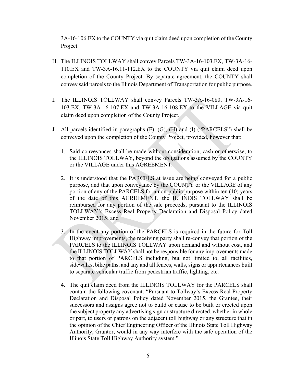3A-16-106.EX to the COUNTY via quit claim deed upon completion of the County Project.

- H. The ILLINOIS TOLLWAY shall convey Parcels TW-3A-16-103.EX, TW-3A-16- 110.EX and TW-3A-16.11-112.EX to the COUNTY via quit claim deed upon completion of the County Project. By separate agreement, the COUNTY shall convey said parcels to the Illinois Department of Transportation for public purpose.
- I. The ILLINOIS TOLLWAY shall convey Parcels TW-3A-16-080, TW-3A-16- 103.EX, TW-3A-16-107.EX and TW-3A-16-108.EX to the VILLAGE via quit claim deed upon completion of the County Project.
- J. All parcels identified in paragraphs (F), (G), (H) and (I) ("PARCELS") shall be conveyed upon the completion of the County Project, provided, however that:
	- 1. Said conveyances shall be made without consideration, cash or otherwise, to the ILLINOIS TOLLWAY, beyond the obligations assumed by the COUNTY or the VILLAGE under this AGREEMENT.
	- 2. It is understood that the PARCELS at issue are being conveyed for a public purpose, and that upon conveyance by the COUNTY or the VILLAGE of any portion of any of the PARCELS for a non-public purpose within ten (10) years of the date of this AGREEMENT, the ILLINOIS TOLLWAY shall be reimbursed for any portion of the sale proceeds, pursuant to the ILLINOIS TOLLWAY's Excess Real Property Declaration and Disposal Policy dated November 2015; and
	- 3. In the event any portion of the PARCELS is required in the future for Toll Highway improvements, the receiving party shall re-convey that portion of the PARCELS to the ILLINOIS TOLLWAY upon demand and without cost, and the ILLINOIS TOLLWAY shall not be responsible for any improvements made to that portion of PARCELS including, but not limited to, all facilities, sidewalks, bike paths, and any and all fences, walls, signs or appurtenances built to separate vehicular traffic from pedestrian traffic, lighting, etc.
	- 4. The quit claim deed from the ILLINOIS TOLLWAY for the PARCELS shall contain the following covenant: "Pursuant to Tollway's Excess Real Property Declaration and Disposal Policy dated November 2015, the Grantee, their successors and assigns agree not to build or cause to be built or erected upon the subject property any advertising sign or structure directed, whether in whole or part, to users or patrons on the adjacent toll highway or any structure that in the opinion of the Chief Engineering Officer of the Illinois State Toll Highway Authority, Grantor, would in any way interfere with the safe operation of the Illinois State Toll Highway Authority system."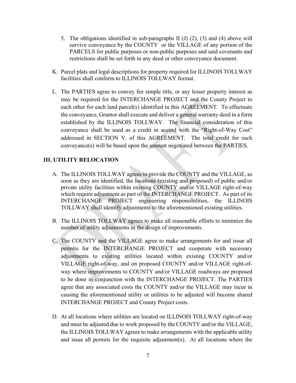- 5. The obligations identified in sub-paragraphs II (J) (2), (3) and (4) above will survive conveyance by the COUNTY or the VILLAGE of any portion of the PARCELS for public purposes or non-public purposes and said covenants and restrictions shall be set forth in any deed or other conveyance document.
- K. Parcel plats and legal descriptions for property required for ILLINOIS TOLLWAY facilities shall conform to ILLINOIS TOLLWAY format.
- L. The PARTIES agree to convey fee simple title, or any lesser property interest as may be required for the INTERCHANGE PROJECT and the County Project to each other for each land parcel(s) identified in this AGREEMENT. To effectuate the conveyance, Grantor shall execute and deliver a general warranty deed in a form established by the ILLINOIS TOLLWAY. The financial consideration of this conveyance shall be used as a credit in accord with the "Right-of-Way Cost" addressed in SECTION V. of this AGREEMENT. The total credit for such conveyance(s) will be based upon the amount negotiated between the PARTIES.

### **III. UTILITY RELOCATION**

- A. The ILLINOIS TOLLWAY agrees to provide the COUNTY and the VILLAGE, as soon as they are identified, the locations (existing and proposed) of public and/or private utility facilities within existing COUNTY and/or VILLAGE right-of-way which require adjustment as part of the INTERCHANGE PROJECT. As part of its INTERCHANGE PROJECT engineering responsibilities, the ILLINOIS TOLLWAY shall identify adjustments to the aforementioned existing utilities.
- B. The ILLINOIS TOLLWAY agrees to make all reasonable efforts to minimize the number of utility adjustments in the design of improvements.
- C. The COUNTY and the VILLAGE agree to make arrangements for and issue all permits for the INTERCHANGE PROJECT and cooperate with necessary adjustments to existing utilities located within existing COUNTY and/or VILLAGE right-of-way, and on proposed COUNTY and/or VILLAGE right-ofway where improvements to COUNTY and/or VILLAGE roadways are proposed to be done in conjunction with the INTERCHANGE PROJECT. The PARTIES agree that any associated costs the COUNTY and/or the VILLAGE may incur in causing the aforementioned utility or utilities to be adjusted will become shared INTERCHANGE PROJECT and County Project costs.
- D. At all locations where utilities are located on ILLINOIS TOLLWAY right-of-way and must be adjusted due to work proposed by the COUNTY and/or the VILLAGE, the ILLINOIS TOLLWAY agrees to make arrangements with the applicable utility and issue all permits for the requisite adjustment(s). At all locations where the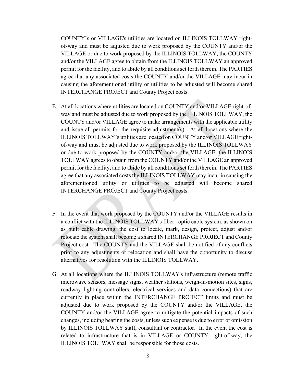COUNTY's or VILLAGE's utilities are located on ILLINOIS TOLLWAY rightof-way and must be adjusted due to work proposed by the COUNTY and/or the VILLAGE or due to work proposed by the ILLINOIS TOLLWAY, the COUNTY and/or the VILLAGE agree to obtain from the ILLINOIS TOLLWAY an approved permit for the facility, and to abide by all conditions set forth therein. The PARTIES agree that any associated costs the COUNTY and/or the VILLAGE may incur in causing the aforementioned utility or utilities to be adjusted will become shared INTERCHANGE PROJECT and County Project costs.

- E. At all locations where utilities are located on COUNTY and/or VILLAGE right-ofway and must be adjusted due to work proposed by the ILLINOIS TOLLWAY, the COUNTY and/or VILLAGE agree to make arrangements with the applicable utility and issue all permits for the requisite adjustment(s). At all locations where the ILLINOIS TOLLWAY's utilities are located on COUNTY and/or VILLAGE rightof-way and must be adjusted due to work proposed by the ILLINOIS TOLLWAY or due to work proposed by the COUNTY and/or the VILLAGE, the ILLINOIS TOLLWAY agrees to obtain from the COUNTY and/or the VILLAGE an approved permit for the facility, and to abide by all conditions set forth therein. The PARTIES agree that any associated costs the ILLINOIS TOLLWAY may incur in causing the aforementioned utility or utilities to be adjusted will become shared INTERCHANGE PROJECT and County Project costs.
- F. In the event that work proposed by the COUNTY and/or the VILLAGE results in a conflict with the ILLINOIS TOLLWAY's fiber optic cable system, as shown on as built cable drawing, the cost to locate, mark, design, protect, adjust and/or relocate the system shall become a shared INTERCHANGE PROJECT and County Project cost. The COUNTY and the VILLAGE shall be notified of any conflicts prior to any adjustments or relocation and shall have the opportunity to discuss alternatives for resolution with the ILLINOIS TOLLWAY.
- G. At all locations where the ILLINOIS TOLLWAY's infrastructure (remote traffic microwave sensors, message signs, weather stations, weigh-in-motion sites, signs, roadway lighting controllers, electrical services and data connections) that are currently in place within the INTERCHANGE PROJECT limits and must be adjusted due to work proposed by the COUNTY and/or the VILLAGE, the COUNTY and/or the VILLAGE agree to mitigate the potential impacts of such changes, including bearing the costs, unless such expense is due to error or omission by ILLINOIS TOLLWAY staff, consultant or contractor. In the event the cost is related to infrastructure that is in VILLAGE or COUNTY right-of-way, the ILLINOIS TOLLWAY shall be responsible for those costs.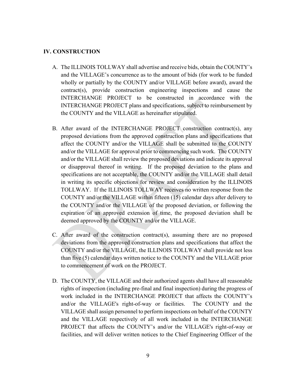#### **IV. CONSTRUCTION**

- A. The ILLINOIS TOLLWAY shall advertise and receive bids, obtain the COUNTY's and the VILLAGE's concurrence as to the amount of bids (for work to be funded wholly or partially by the COUNTY and/or VILLAGE before award), award the contract(s), provide construction engineering inspections and cause the INTERCHANGE PROJECT to be constructed in accordance with the INTERCHANGE PROJECT plans and specifications, subject to reimbursement by the COUNTY and the VILLAGE as hereinafter stipulated.
- B. After award of the INTERCHANGE PROJECT construction contract(s), any proposed deviations from the approved construction plans and specifications that affect the COUNTY and/or the VILLAGE shall be submitted to the COUNTY and/or the VILLAGE for approval prior to commencing such work. The COUNTY and/or the VILLAGE shall review the proposed deviations and indicate its approval or disapproval thereof in writing. If the proposed deviation to the plans and specifications are not acceptable, the COUNTY and/or the VILLAGE shall detail in writing its specific objections for review and consideration by the ILLINOIS TOLLWAY. If the ILLINOIS TOLLWAY receives no written response from the COUNTY and/or the VILLAGE within fifteen (15) calendar days after delivery to the COUNTY and/or the VILLAGE of the proposed deviation, or following the expiration of an approved extension of time, the proposed deviation shall be deemed approved by the COUNTY and/or the VILLAGE.
- C. After award of the construction contract(s), assuming there are no proposed deviations from the approved construction plans and specifications that affect the COUNTY and/or the VILLAGE, the ILLINOIS TOLLWAY shall provide not less than five (5) calendar days written notice to the COUNTY and the VILLAGE prior to commencement of work on the PROJECT.
- D. The COUNTY, the VILLAGE and their authorized agents shall have all reasonable rights of inspection (including pre-final and final inspection) during the progress of work included in the INTERCHANGE PROJECT that affects the COUNTY's and/or the VILLAGE's right-of-way or facilities. The COUNTY and the VILLAGE shall assign personnel to perform inspections on behalf of the COUNTY and the VILLAGE respectively of all work included in the INTERCHANGE PROJECT that affects the COUNTY's and/or the VILLAGE's right-of-way or facilities, and will deliver written notices to the Chief Engineering Officer of the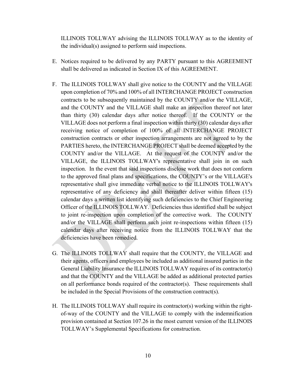ILLINOIS TOLLWAY advising the ILLINOIS TOLLWAY as to the identity of the individual(s) assigned to perform said inspections.

- E. Notices required to be delivered by any PARTY pursuant to this AGREEMENT shall be delivered as indicated in Section IX of this AGREEMENT.
- F. The ILLINOIS TOLLWAY shall give notice to the COUNTY and the VILLAGE upon completion of 70% and 100% of all INTERCHANGE PROJECT construction contracts to be subsequently maintained by the COUNTY and/or the VILLAGE, and the COUNTY and the VILLAGE shall make an inspection thereof not later than thirty (30) calendar days after notice thereof. If the COUNTY or the VILLAGE does not perform a final inspection within thirty (30) calendar days after receiving notice of completion of 100% of all INTERCHANGE PROJECT construction contracts or other inspection arrangements are not agreed to by the PARTIES hereto, the INTERCHANGE PROJECT shall be deemed accepted by the COUNTY and/or the VILLAGE. At the request of the COUNTY and/or the VILLAGE, the ILLINOIS TOLLWAY's representative shall join in on such inspection. In the event that said inspections disclose work that does not conform to the approved final plans and specifications, the COUNTY's or the VILLAGE's representative shall give immediate verbal notice to the ILLINOIS TOLLWAY's representative of any deficiency and shall thereafter deliver within fifteen (15) calendar days a written list identifying such deficiencies to the Chief Engineering Officer of the ILLINOIS TOLLWAY. Deficiencies thus identified shall be subject to joint re-inspection upon completion of the corrective work. The COUNTY and/or the VILLAGE shall perform such joint re-inspections within fifteen (15) calendar days after receiving notice from the ILLINOIS TOLLWAY that the deficiencies have been remedied.
- G. The ILLINOIS TOLLWAY shall require that the COUNTY, the VILLAGE and their agents, officers and employees be included as additional insured parties in the General Liability Insurance the ILLINOIS TOLLWAY requires of its contractor(s) and that the COUNTY and the VILLAGE be added as additional protected parties on all performance bonds required of the contractor(s). These requirements shall be included in the Special Provisions of the construction contract(s).
- H. The ILLINOIS TOLLWAY shall require its contractor(s) working within the rightof-way of the COUNTY and the VILLAGE to comply with the indemnification provision contained at Section 107.26 in the most current version of the ILLINOIS TOLLWAY's Supplemental Specifications for construction.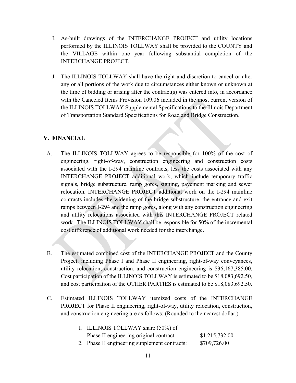- I. As-built drawings of the INTERCHANGE PROJECT and utility locations performed by the ILLINOIS TOLLWAY shall be provided to the COUNTY and the VILLAGE within one year following substantial completion of the INTERCHANGE PROJECT.
- J. The ILLINOIS TOLLWAY shall have the right and discretion to cancel or alter any or all portions of the work due to circumstances either known or unknown at the time of bidding or arising after the contract(s) was entered into, in accordance with the Canceled Items Provision 109.06 included in the most current version of the ILLINOIS TOLLWAY Supplemental Specifications to the Illinois Department of Transportation Standard Specifications for Road and Bridge Construction.

## **V. FINANCIAL**

- A. The ILLINOIS TOLLWAY agrees to be responsible for 100% of the cost of engineering, right-of-way, construction engineering and construction costs associated with the I-294 mainline contracts, less the costs associated with any INTERCHANGE PROJECT additional work, which include temporary traffic signals, bridge substructure, ramp gores, signing, pavement marking and sewer relocation. INTERCHANGE PROJECT additional work on the I-294 mainline contracts includes the widening of the bridge substructure, the entrance and exit ramps between I-294 and the ramp gores, along with any construction engineering and utility relocations associated with this INTERCHANGE PROJECT related work. The ILLINOIS TOLLWAY shall be responsible for 50% of the incremental cost difference of additional work needed for the interchange.
- B. The estimated combined cost of the INTERCHANGE PROJECT and the County Project, including Phase I and Phase II engineering, right-of-way conveyances, utility relocation, construction, and construction engineering is \$36,167,385.00. Cost participation of the ILLINOIS TOLLWAY is estimated to be \$18,083,692.50, and cost participation of the OTHER PARTIES is estimated to be \$18,083,692.50.
- C. Estimated ILLINOIS TOLLWAY itemized costs of the INTERCHANGE PROJECT for Phase II engineering, right-of-way, utility relocation, construction, and construction engineering are as follows: (Rounded to the nearest dollar.)

| 1. ILLINOIS TOLLWAY share (50%) of            |                |
|-----------------------------------------------|----------------|
| Phase II engineering original contract:       | \$1,215,732.00 |
| 2. Phase II engineering supplement contracts: | \$709,726.00   |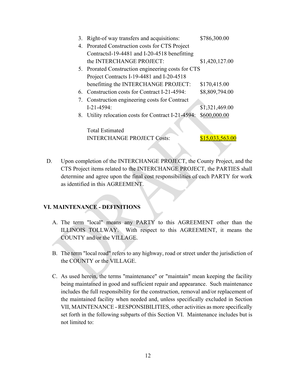| 3. | Right-of way transfers and acquisitions:            | \$786,300.00    |
|----|-----------------------------------------------------|-----------------|
|    | 4. Prorated Construction costs for CTS Project      |                 |
|    | ContractsI-19-4481 and I-20-4518 benefitting        |                 |
|    | the INTERCHANGE PROJECT:                            | \$1,420,127.00  |
|    | 5. Prorated Construction engineering costs for CTS  |                 |
|    | Project Contracts I-19-4481 and I-20-4518           |                 |
|    | benefitting the INTERCHANGE PROJECT:                | \$170,415.00    |
|    | 6. Construction costs for Contract I-21-4594:       | \$8,809,794.00  |
|    | 7. Construction engineering costs for Contract      |                 |
|    | $I-21-4594:$                                        | \$1,321,469.00  |
|    | 8. Utility relocation costs for Contract I-21-4594: | \$600,000.00    |
|    |                                                     |                 |
|    | <b>Total Estimated</b>                              |                 |
|    | <b>INTERCHANGE PROJECT Costs:</b>                   | \$15,033,563.00 |
|    |                                                     |                 |

D. Upon completion of the INTERCHANGE PROJECT, the County Project, and the CTS Project items related to the INTERCHANGE PROJECT, the PARTIES shall determine and agree upon the final cost responsibilities of each PARTY for work as identified in this AGREEMENT.

#### **VI. MAINTENANCE - DEFINITIONS**

- A. The term "local" means any PARTY to this AGREEMENT other than the ILLINOIS TOLLWAY. With respect to this AGREEMENT, it means the COUNTY and/or the VILLAGE.
- B. The term "local road" refers to any highway, road or street under the jurisdiction of the COUNTY or the VILLAGE.
- C. As used herein, the terms "maintenance" or "maintain" mean keeping the facility being maintained in good and sufficient repair and appearance. Such maintenance includes the full responsibility for the construction, removal and/or replacement of the maintained facility when needed and, unless specifically excluded in Section VII, MAINTENANCE - RESPONSIBILITIES, other activities as more specifically set forth in the following subparts of this Section VI. Maintenance includes but is not limited to: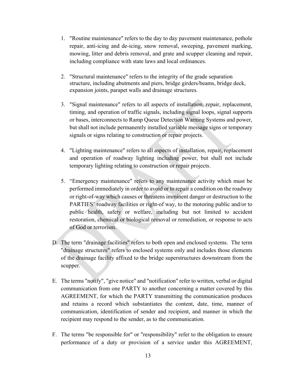- 1. "Routine maintenance" refers to the day to day pavement maintenance, pothole repair, anti-icing and de-icing, snow removal, sweeping, pavement marking, mowing, litter and debris removal, and grate and scupper cleaning and repair, including compliance with state laws and local ordinances.
- 2. "Structural maintenance" refers to the integrity of the grade separation structure, including abutments and piers, bridge girders/beams, bridge deck, expansion joints, parapet walls and drainage structures.
- 3. "Signal maintenance" refers to all aspects of installation, repair, replacement, timing, and operation of traffic signals, including signal loops, signal supports or bases, interconnects to Ramp Queue Detection Warning Systems and power, but shall not include permanently installed variable message signs or temporary signals or signs relating to construction or repair projects.
- 4. "Lighting maintenance" refers to all aspects of installation, repair, replacement and operation of roadway lighting including power, but shall not include temporary lighting relating to construction or repair projects.
- 5. "Emergency maintenance" refers to any maintenance activity which must be performed immediately in order to avoid or to repair a condition on the roadway or right-of-way which causes or threatens imminent danger or destruction to the PARTIES' roadway facilities or right-of way, to the motoring public and/or to public health, safety or welfare, including but not limited to accident restoration, chemical or biological removal or remediation, or response to acts of God or terrorism.
- D. The term "drainage facilities" refers to both open and enclosed systems. The term "drainage structures" refers to enclosed systems only and includes those elements of the drainage facility affixed to the bridge superstructures downstream from the scupper.
- E. The terms "notify", "give notice" and "notification" refer to written, verbal or digital communication from one PARTY to another concerning a matter covered by this AGREEMENT, for which the PARTY transmitting the communication produces and retains a record which substantiates the content, date, time, manner of communication, identification of sender and recipient, and manner in which the recipient may respond to the sender, as to the communication.
- F. The terms "be responsible for" or "responsibility" refer to the obligation to ensure performance of a duty or provision of a service under this AGREEMENT,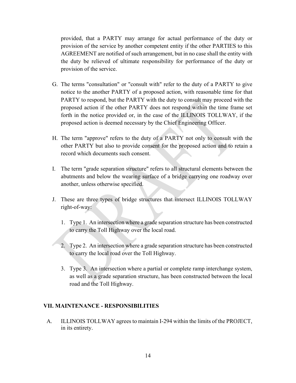provided, that a PARTY may arrange for actual performance of the duty or provision of the service by another competent entity if the other PARTIES to this AGREEMENT are notified of such arrangement, but in no case shall the entity with the duty be relieved of ultimate responsibility for performance of the duty or provision of the service.

- G. The terms "consultation" or "consult with" refer to the duty of a PARTY to give notice to the another PARTY of a proposed action, with reasonable time for that PARTY to respond, but the PARTY with the duty to consult may proceed with the proposed action if the other PARTY does not respond within the time frame set forth in the notice provided or, in the case of the ILLINOIS TOLLWAY, if the proposed action is deemed necessary by the Chief Engineering Officer.
- H. The term "approve" refers to the duty of a PARTY not only to consult with the other PARTY but also to provide consent for the proposed action and to retain a record which documents such consent.
- I. The term "grade separation structure" refers to all structural elements between the abutments and below the wearing surface of a bridge carrying one roadway over another, unless otherwise specified.
- J. These are three types of bridge structures that intersect ILLINOIS TOLLWAY right-of-way:
	- 1. Type 1. An intersection where a grade separation structure has been constructed to carry the Toll Highway over the local road.
	- 2. Type 2. An intersection where a grade separation structure has been constructed to carry the local road over the Toll Highway.
	- 3. Type 3. An intersection where a partial or complete ramp interchange system, as well as a grade separation structure, has been constructed between the local road and the Toll Highway.

#### **VII. MAINTENANCE - RESPONSIBILITIES**

A. ILLINOIS TOLLWAY agrees to maintain I-294 within the limits of the PROJECT, in its entirety.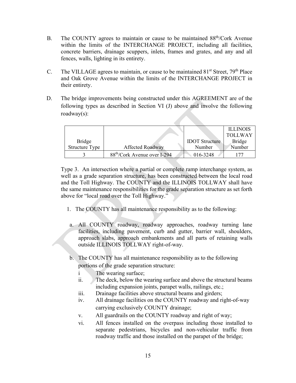- B. The COUNTY agrees to maintain or cause to be maintained 88<sup>th</sup>/Cork Avenue within the limits of the INTERCHANGE PROJECT, including all facilities, concrete barriers, drainage scuppers, inlets, frames and grates, and any and all fences, walls, lighting in its entirety.
- C. The VILLAGE agrees to maintain, or cause to be maintained  $81<sup>st</sup>$  Street,  $79<sup>th</sup>$  Place and Oak Grove Avenue within the limits of the INTERCHANGE PROJECT in their entirety.
- D. The bridge improvements being constructed under this AGREEMENT are of the following types as described in Section VI (J) above and involve the following roadway(s):

|                       |                                          |                       | <b>ILLINOIS</b> |
|-----------------------|------------------------------------------|-----------------------|-----------------|
|                       |                                          |                       | <b>TOLLWAY</b>  |
| <b>Bridge</b>         |                                          | <b>IDOT</b> Structure | <b>Bridge</b>   |
| <b>Structure Type</b> | <b>Affected Roadway</b>                  | Number                | Number          |
|                       | 88 <sup>th</sup> /Cork Avenue over I-294 | 016-3248              |                 |

Type 3. An intersection where a partial or complete ramp interchange system, as well as a grade separation structure, has been constructed between the local road and the Toll Highway. The COUNTY and the ILLINOIS TOLLWAY shall have the same maintenance responsibilities for the grade separation structure as set forth above for "local road over the Toll Highway."

- 1. The COUNTY has all maintenance responsibility as to the following:
- a. All COUNTY roadway, roadway approaches, roadway turning lane facilities, including pavement, curb and gutter, barrier wall, shoulders, approach slabs, approach embankments and all parts of retaining walls outside ILLINOIS TOLLWAY right-of-way.
- b. The COUNTY has all maintenance responsibility as to the following portions of the grade separation structure:
	- i The wearing surface;
	- ii. The deck, below the wearing surface and above the structural beams including expansion joints, parapet walls, railings, etc.;
	- iii. Drainage facilities above structural beams and girders;
	- iv. All drainage facilities on the COUNTY roadway and right-of-way carrying exclusively COUNTY drainage;
	- v. All guardrails on the COUNTY roadway and right of way;
	- vi. All fences installed on the overpass including those installed to separate pedestrians, bicycles and non-vehicular traffic from roadway traffic and those installed on the parapet of the bridge;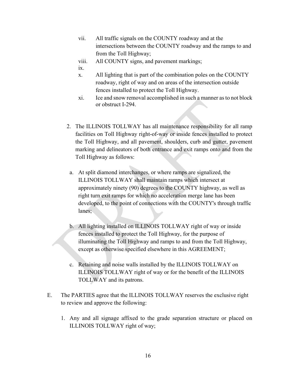- vii. All traffic signals on the COUNTY roadway and at the intersections between the COUNTY roadway and the ramps to and from the Toll Highway;
- viii. All COUNTY signs, and pavement markings;

ix.

- x. All lighting that is part of the combination poles on the COUNTY roadway, right of way and on areas of the intersection outside fences installed to protect the Toll Highway.
- xi. Ice and snow removal accomplished in such a manner as to not block or obstruct I-294.
- 2. The ILLINOIS TOLLWAY has all maintenance responsibility for all ramp facilities on Toll Highway right-of-way or inside fences installed to protect the Toll Highway, and all pavement, shoulders, curb and gutter, pavement marking and delineators of both entrance and exit ramps onto and from the Toll Highway as follows:
- a. At split diamond interchanges, or where ramps are signalized, the ILLINOIS TOLLWAY shall maintain ramps which intersect at approximately ninety (90) degrees to the COUNTY highway, as well as right turn exit ramps for which no acceleration merge lane has been developed, to the point of connections with the COUNTY's through traffic lanes;
- b. All lighting installed on ILLINOIS TOLLWAY right of way or inside fences installed to protect the Toll Highway, for the purpose of illuminating the Toll Highway and ramps to and from the Toll Highway, except as otherwise specified elsewhere in this AGREEMENT;
- c. Retaining and noise walls installed by the ILLINOIS TOLLWAY on ILLINOIS TOLLWAY right of way or for the benefit of the ILLINOIS TOLLWAY and its patrons.
- E. The PARTIES agree that the ILLINOIS TOLLWAY reserves the exclusive right to review and approve the following:
	- 1. Any and all signage affixed to the grade separation structure or placed on ILLINOIS TOLLWAY right of way;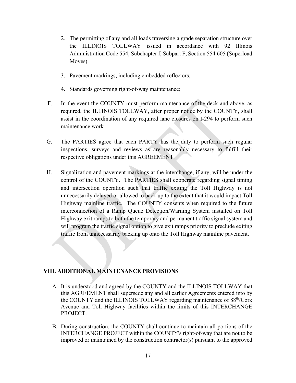- 2. The permitting of any and all loads traversing a grade separation structure over the ILLINOIS TOLLWAY issued in accordance with 92 Illinois Administration Code 554, Subchapter f, Subpart F, Section 554.605 (Superload Moves).
- 3. Pavement markings, including embedded reflectors;
- 4. Standards governing right-of-way maintenance;
- F. In the event the COUNTY must perform maintenance of the deck and above, as required, the ILLINOIS TOLLWAY, after proper notice by the COUNTY, shall assist in the coordination of any required lane closures on I-294 to perform such maintenance work.
- G. The PARTIES agree that each PARTY has the duty to perform such regular inspections, surveys and reviews as are reasonably necessary to fulfill their respective obligations under this AGREEMENT.
- H. Signalization and pavement markings at the interchange, if any, will be under the control of the COUNTY. The PARTIES shall cooperate regarding signal timing and intersection operation such that traffic exiting the Toll Highway is not unnecessarily delayed or allowed to back up to the extent that it would impact Toll Highway mainline traffic. The COUNTY consents when required to the future interconnection of a Ramp Queue Detection/Warning System installed on Toll Highway exit ramps to both the temporary and permanent traffic signal system and will program the traffic signal option to give exit ramps priority to preclude exiting traffic from unnecessarily backing up onto the Toll Highway mainline pavement.

### **VIII. ADDITIONAL MAINTENANCE PROVISIONS**

- A. It is understood and agreed by the COUNTY and the ILLINOIS TOLLWAY that this AGREEMENT shall supersede any and all earlier Agreements entered into by the COUNTY and the ILLINOIS TOLLWAY regarding maintenance of 88<sup>th</sup>/Cork Avenue and Toll Highway facilities within the limits of this INTERCHANGE PROJECT.
- B. During construction, the COUNTY shall continue to maintain all portions of the INTERCHANGE PROJECT within the COUNTY's right-of-way that are not to be improved or maintained by the construction contractor(s) pursuant to the approved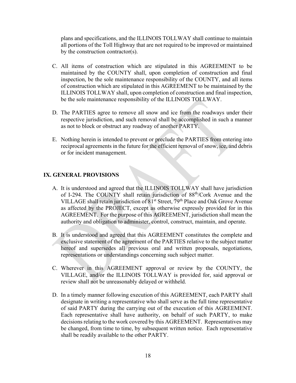plans and specifications, and the ILLINOIS TOLLWAY shall continue to maintain all portions of the Toll Highway that are not required to be improved or maintained by the construction contractor(s).

- C. All items of construction which are stipulated in this AGREEMENT to be maintained by the COUNTY shall, upon completion of construction and final inspection, be the sole maintenance responsibility of the COUNTY, and all items of construction which are stipulated in this AGREEMENT to be maintained by the ILLINOIS TOLLWAY shall, upon completion of construction and final inspection, be the sole maintenance responsibility of the ILLINOIS TOLLWAY.
- D. The PARTIES agree to remove all snow and ice from the roadways under their respective jurisdiction, and such removal shall be accomplished in such a manner as not to block or obstruct any roadway of another PARTY.
- E. Nothing herein is intended to prevent or preclude the PARTIES from entering into reciprocal agreements in the future for the efficient removal of snow, ice, and debris or for incident management.

#### **IX. GENERAL PROVISIONS**

- A. It is understood and agreed that the ILLINOIS TOLLWAY shall have jurisdiction of I-294. The COUNTY shall retain jurisdiction of 88th/Cork Avenue and the VILLAGE shall retain jurisdiction of 81<sup>st</sup> Street, 79<sup>th</sup> Place and Oak Grove Avenue as affected by the PROJECT, except as otherwise expressly provided for in this AGREEMENT. For the purpose of this AGREEMENT, jurisdiction shall mean the authority and obligation to administer, control, construct, maintain, and operate.
- B. It is understood and agreed that this AGREEMENT constitutes the complete and exclusive statement of the agreement of the PARTIES relative to the subject matter hereof and supersedes all previous oral and written proposals, negotiations, representations or understandings concerning such subject matter.
- C. Wherever in this AGREEMENT approval or review by the COUNTY, the VILLAGE, and/or the ILLINOIS TOLLWAY is provided for, said approval or review shall not be unreasonably delayed or withheld.
- D. In a timely manner following execution of this AGREEMENT, each PARTY shall designate in writing a representative who shall serve as the full time representative of said PARTY during the carrying out of the execution of this AGREEMENT. Each representative shall have authority, on behalf of such PARTY, to make decisions relating to the work covered by this AGREEMENT. Representatives may be changed, from time to time, by subsequent written notice. Each representative shall be readily available to the other PARTY.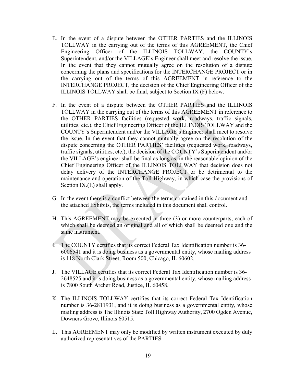- E. In the event of a dispute between the OTHER PARTIES and the ILLINOIS TOLLWAY in the carrying out of the terms of this AGREEMENT, the Chief Engineering Officer of the ILLINOIS TOLLWAY, the COUNTY's Superintendent, and/or the VILLAGE's Engineer shall meet and resolve the issue. In the event that they cannot mutually agree on the resolution of a dispute concerning the plans and specifications for the INTERCHANGE PROJECT or in the carrying out of the terms of this AGREEMENT in reference to the INTERCHANGE PROJECT, the decision of the Chief Engineering Officer of the ILLINOIS TOLLWAY shall be final, subject to Section IX (F) below.
- F. In the event of a dispute between the OTHER PARTIES and the ILLINOIS TOLLWAY in the carrying out of the terms of this AGREEMENT in reference to the OTHER PARTIES facilities (requested work, roadways, traffic signals, utilities, etc.), the Chief Engineering Officer of the ILLINOIS TOLLWAY and the COUNTY's Superintendent and/or the VILLAGE's Engineer shall meet to resolve the issue. In the event that they cannot mutually agree on the resolution of the dispute concerning the OTHER PARTIES' facilities (requested work, roadways, traffic signals, utilities, etc.), the decision of the COUNTY's Superintendent and/or the VILLAGE's engineer shall be final as long as, in the reasonable opinion of the Chief Engineering Officer of the ILLINOIS TOLLWAY that decision does not delay delivery of the INTERCHANGE PROJECT or be detrimental to the maintenance and operation of the Toll Highway, in which case the provisions of Section IX.(E) shall apply.
- G. In the event there is a conflict between the terms contained in this document and the attached Exhibits, the terms included in this document shall control.
- H. This AGREEMENT may be executed in three (3) or more counterparts, each of which shall be deemed an original and all of which shall be deemed one and the same instrument.
- I. The COUNTY certifies that its correct Federal Tax Identification number is 36- 6006541 and it is doing business as a governmental entity, whose mailing address is 118 North Clark Street, Room 500, Chicago, IL 60602.
- J. The VILLAGE certifies that its correct Federal Tax Identification number is 36- 2648525 and it is doing business as a governmental entity, whose mailing address is 7800 South Archer Road, Justice, IL 60458.
- K. The ILLINOIS TOLLWAY certifies that its correct Federal Tax Identification number is 36-2811931, and it is doing business as a governmental entity, whose mailing address is The Illinois State Toll Highway Authority, 2700 Ogden Avenue, Downers Grove, Illinois 60515.
- L. This AGREEMENT may only be modified by written instrument executed by duly authorized representatives of the PARTIES.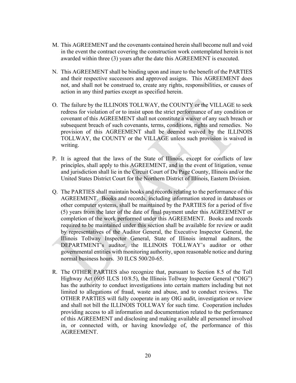- M. This AGREEMENT and the covenants contained herein shall become null and void in the event the contract covering the construction work contemplated herein is not awarded within three (3) years after the date this AGREEMENT is executed.
- N. This AGREEMENT shall be binding upon and inure to the benefit of the PARTIES and their respective successors and approved assigns. This AGREEMENT does not, and shall not be construed to, create any rights, responsibilities, or causes of action in any third parties except as specified herein.
- O. The failure by the ILLINOIS TOLLWAY, the COUNTY or the VILLAGE to seek redress for violation of or to insist upon the strict performance of any condition or covenant of this AGREEMENT shall not constitute a waiver of any such breach or subsequent breach of such covenants, terms, conditions, rights and remedies. No provision of this AGREEMENT shall be deemed waived by the ILLINOIS TOLLWAY, the COUNTY or the VILLAGE unless such provision is waived in writing.
- P. It is agreed that the laws of the State of Illinois, except for conflicts of law principles, shall apply to this AGREEMENT, and in the event of litigation, venue and jurisdiction shall lie in the Circuit Court of Du Page County, Illinois and/or the United States District Court for the Northern District of Illinois, Eastern Division.
- Q. The PARTIES shall maintain books and records relating to the performance of this AGREEMENT. Books and records, including information stored in databases or other computer systems, shall be maintained by the PARTIES for a period of five (5) years from the later of the date of final payment under this AGREEMENT or completion of the work performed under this AGREEMENT. Books and records required to be maintained under this section shall be available for review or audit by representatives of the Auditor General, the Executive Inspector General, the Illinois Tollway Inspector General, State of Illinois internal auditors, the DEPARTMENT's auditor, the ILLINOIS TOLLWAY's auditor or other governmental entities with monitoring authority, upon reasonable notice and during normal business hours. 30 ILCS 500/20-65.
- R. The OTHER PARTIES also recognize that, pursuant to Section 8.5 of the Toll Highway Act (605 ILCS 10/8.5), the Illinois Tollway Inspector General ("OIG") has the authority to conduct investigations into certain matters including but not limited to allegations of fraud, waste and abuse, and to conduct reviews. The OTHER PARTIES will fully cooperate in any OIG audit, investigation or review and shall not bill the ILLINOIS TOLLWAY for such time. Cooperation includes providing access to all information and documentation related to the performance of this AGREEMENT and disclosing and making available all personnel involved in, or connected with, or having knowledge of, the performance of this AGREEMENT.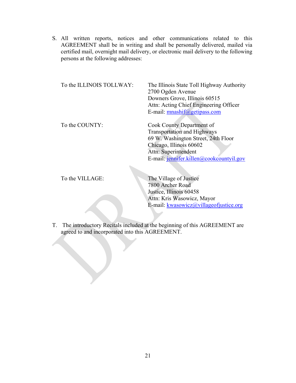S. All written reports, notices and other communications related to this AGREEMENT shall be in writing and shall be personally delivered, mailed via certified mail, overnight mail delivery, or electronic mail delivery to the following persons at the following addresses:

| To the ILLINOIS TOLLWAY: | The Illinois State Toll Highway Authority<br>2700 Ogden Avenue<br>Downers Grove, Illinois 60515<br>Attn: Acting Chief Engineering Officer<br>E-mail: mnashif@getipass.com                             |
|--------------------------|-------------------------------------------------------------------------------------------------------------------------------------------------------------------------------------------------------|
| To the COUNTY:           | Cook County Department of<br><b>Transportation and Highways</b><br>69 W. Washington Street, 24th Floor<br>Chicago, Illinois 60602<br>Attn: Superintendent<br>E-mail: jennifer.killen@cookcountyil.gov |

To the VILLAGE:<br>The Village of Justice 7800 Archer Road Justice, Illinois 60458 Attn: Kris Wasowicz, Mayor E-mail: [kwasowicz@villageofjustice.org](mailto:kwasowicz@villageofjustice.org)

T. The introductory Recitals included at the beginning of this AGREEMENT are agreed to and incorporated into this AGREEMENT.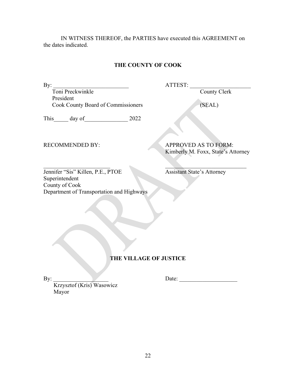IN WITNESS THEREOF, the PARTIES have executed this AGREEMENT on the dates indicated.

## **THE COUNTY OF COOK**

By: \_\_\_\_\_\_\_\_\_\_\_\_\_\_\_\_\_\_\_\_\_\_\_\_\_\_ ATTEST: \_\_\_\_\_\_\_\_\_\_\_\_\_\_\_\_\_\_\_\_\_

Toni Preckwinkle **County Clerk** County Clerk President Cook County Board of Commissioners (SEAL)

This\_\_\_\_\_\_ day of\_\_\_\_\_\_\_\_\_\_\_\_\_\_\_\_\_\_\_\_\_\_ 2022

RECOMMENDED BY: APPROVED AS TO FORM: Kimberly M. Foxx, State's Attorney

 $\mathcal{L}_\text{max}$  , and the contract of the contract of the contract of the contract of the contract of the contract of the contract of the contract of the contract of the contract of the contract of the contract of the contr Jennifer "Sis" Killen, P.E., PTOE Assistant State's Attorney Superintendent County of Cook Department of Transportation and Highways

### **THE VILLAGE OF JUSTICE**

By: Date:

 Krzysztof (Kris) Wasowicz Mayor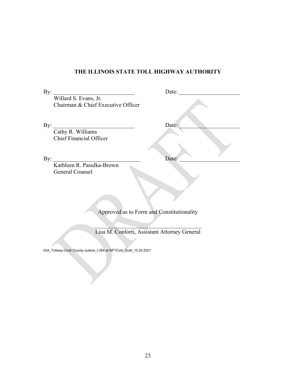# **THE ILLINOIS STATE TOLL HIGHWAY AUTHORITY**

| By:<br>Date:                                 |  |
|----------------------------------------------|--|
| Willard S. Evans, Jr.                        |  |
| Chairman & Chief Executive Officer           |  |
|                                              |  |
| By:<br>Date:                                 |  |
| Cathy R. Williams                            |  |
| <b>Chief Financial Officer</b>               |  |
|                                              |  |
|                                              |  |
| By:<br>Date:                                 |  |
| Kathleen R. Pasulka-Brown                    |  |
| General Counsel                              |  |
|                                              |  |
|                                              |  |
|                                              |  |
|                                              |  |
|                                              |  |
| Approved as to Form and Constitutionality    |  |
|                                              |  |
|                                              |  |
| Lisa M. Conforti, Assistant Attorney General |  |

IGA\_Tollway-Cook County-Justice\_I-294 at 88th/Cork\_Draft\_10.20.2021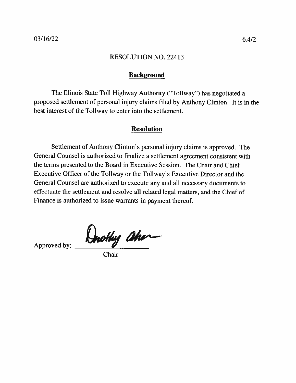## **Background**

The Illinois State Toll Highway Authority ("Tollway") has negotiated a proposed settlement of personal injury claims filed by Anthony Clinton. It is in the best interest of the Tollway to enter into the settlement.

## **Resolution**

Settlement of Anthony Clinton's personal injury claims is approved. The General Counsel is authorized to finalize a settlement agreement consistent with the terms presented to the Board in Executive Session. The Chair and Chief Executive Officer of the Tollway or the Tollway's Executive Director and the General Counsel are authorized to execute any and all necessary documents to effectuate the settlement and resolve all related legal matters, and the Chief of Finance is authorized to issue warrants in payment thereof.

Hnothy aher

Approved by:

Chair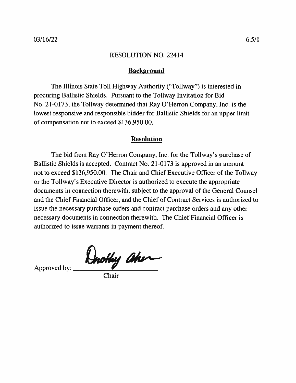#### **Background**

The Illinois State Toll Highway Authority ("Tollway") is interested in procuring Ballistic Shields. Pursuant to the Tollway Invitation for Bid No. 21-0173, the Tollway determined that Ray O'Herron Company, Inc. is the lowest responsive and responsible bidder for Ballistic Shields for an upper limit of compensation not to exceed \$136,950.00.

## **Resolution**

The bid from Ray O'Herron Company, Inc. for the Tollway's purchase of Ballistic Shields is accepted. Contract No. 21-0173 is approved in an amount not to exceed \$136,950.00. The Chair and Chief Executive Officer of the Tollway or the Tollway's Executive Director is authorized to execute the appropriate documents in connection therewith, subject to the approval of the General Counsel and the Chief Financial Officer, and the Chief of Contract Services is authorized to issue the necessary purchase orders and contract purchase orders and any other necessary documents in connection therewith. The Chief Financial Officer is authorized to issue warrants in payment thereof.

Drothy aher